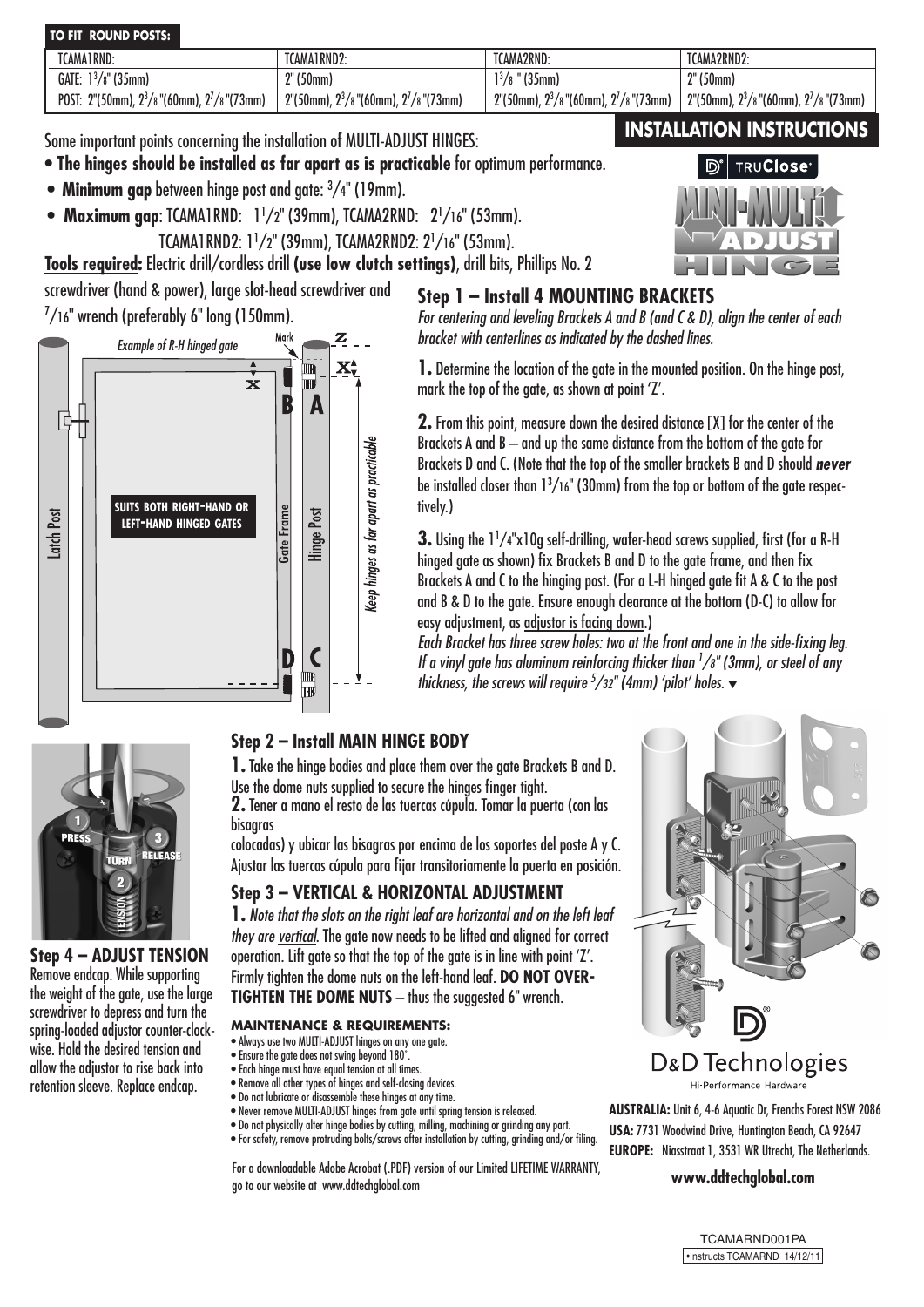#### **TO FIT ROUND POSTS:**

| TCAMA1RND:                                       | TCAMA1RND2:                                   | TCAMA2RND:                                                                 | TCAMA2RND2:                                                                |
|--------------------------------------------------|-----------------------------------------------|----------------------------------------------------------------------------|----------------------------------------------------------------------------|
| GATE: $1^{3}/8$ " (35mm)                         | ?" (50mm)                                     | $1^{3}/8$<br>" (35mm)                                                      | <sup>?"</sup> (50mm)                                                       |
| POST: 2"(50mm), $2^3/s$ "(60mm), $2^7/s$ "(73mm) | $2"$ (50mm), $2^3/s"$ (60mm), $2^7/s"$ (73mm) | $2^{\circ}$ (50mm), $2^3$ /8 $^{\circ}$ (60mm), $2^7$ /8 $^{\circ}$ (73mm) | $2^{\circ}$ (50mm), $2^3$ /8 $^{\circ}$ (60mm), $2^7$ /8 $^{\circ}$ (73mm) |

Some important points concerning the installation of MULTI-ADJUST HINGES:

- **The hinges should be installed as far apart as is practicable** for optimum performance.
- **• Minimum gap** between hinge post and gate: 3 /4" (19mm).
- **Maximum gap**: TCAMA1RND: 11 /2" (39mm), TCAMA2RND: 21 /16" (53mm).
- TCAMA1RND2: 11 /2" (39mm), TCAMA2RND2: 21 /16" (53mm). **Tools required:** Electric drill/cordless drill **(use low clutch settings)**, drill bits, Phillips No. 2

screwdriver (hand & power), large slot-head screwdriver and

 $^{7}/$ 16" wrench (preferably 6" long (150mm).



## **Step 1 – Install 4 MOUNTING BRACKETS**

*For centering and leveling Brackets A and B (and C & D), align the center of each bracket with centerlines as indicated by the dashed lines.*

**1.** Determine the location of the gate in the mounted position. On the hinge post, mark the top of the gate, as shown at point 'Z'.

**2.** From this point, measure down the desired distance [X] for the center of the Brackets A and B – and up the same distance from the bottom of the gate for Brackets D and C. (Note that the top of the smaller brackets B and D should *never*  be installed closer than  $1^3/16$ " (30mm) from the top or bottom of the gate respectively.)

**3.** Using the 1<sup>1</sup>/4"x10g self-drilling, wafer-head screws supplied, first (for a R-H hinged gate as shown) fix Brackets B and D to the gate frame, and then fix Brackets A and C to the hinging post. (For a L-H hinged gate fit A & C to the post and B & D to the gate. Ensure enough clearance at the bottom (D-C) to allow for easy adjustment, as adjustor is facing down.)

*Each Bracket has three screw holes: two at the front and one in the side-fixing leg. If a vinyl gate has aluminum reinforcing thicker than 1 /8" (3mm), or steel of any thickness, the screws will require <sup>5</sup>/32" (4mm) 'pilot' holes.* ▼



**Step 4 – ADJUST TENSION** Remove endcap. While supporting the weight of the gate, use the large screwdriver to depress and turn the spring-loaded adjustor counter-clockwise. Hold the desired tension and allow the adjustor to rise back into retention sleeve. Replace endcap.

## **Step 2 – Install MAIN HINGE BODY**

**1.** Take the hinge bodies and place them over the gate Brackets B and D. Use the dome nuts supplied to secure the hinges finger tight.

**2.** Tener a mano el resto de las tuercas cúpula. Tomar la puerta (con las bisagras

colocadas) y ubicar las bisagras por encima de los soportes del poste A y C. Ajustar las tuercas cúpula para fijar transitoriamente la puerta en posición.

## **Step 3 – VERTICAL & HORIZONTAL ADJUSTMENT**

**1.** *Note that the slots on the right leaf are horizontal and on the left leaf they are vertical.* The gate now needs to be lifted and alianed for correct operation. Lift gate so that the top of the gate is in line with point 'Z'. Firmly tighten the dome nuts on the left-hand leaf. **DO NOT OVER-TIGHTEN THE DOME NUTS** – thus the suggested 6" wrench.

#### **MAINTENANCE & REQUIREMENTS:**

- Always use two MULTI-ADJUST hinges on any one gate.
- Ensure the gate does not swing beyond 180˚. • Each hinge must have equal tension at all times.
- Remove all other types of hinges and self-closing devices.
- Do not lubricate or disassemble these hinges at any time.
- Never remove MULTI-ADJUST hinges from gate until spring tension is released.
- Do not physically alter hinge bodies by cutting, milling, machining or grinding any part.
- For safety, remove protruding bolts/screws after installation by cutting, grinding and/or filing.

For a downloadable Adobe Acrobat (.PDF) version of our Limited LIFETIME WARRANTY,<br> **For the our work detechglobal.com** go to our website at www.ddtechglobal.com



#### D&D Technologies Hi-Performance Hardware

**AUSTRALIA:** Unit 6, 4-6 Aquatic Dr, Frenchs Forest NSW 2086 **USA:** 7731 Woodwind Drive, Huntington Beach, CA 92647 **EUROPE:** Niasstraat 1, 3531 WR Utrecht, The Netherlands.



# **INSTALLATION INSTRUCTIONS**